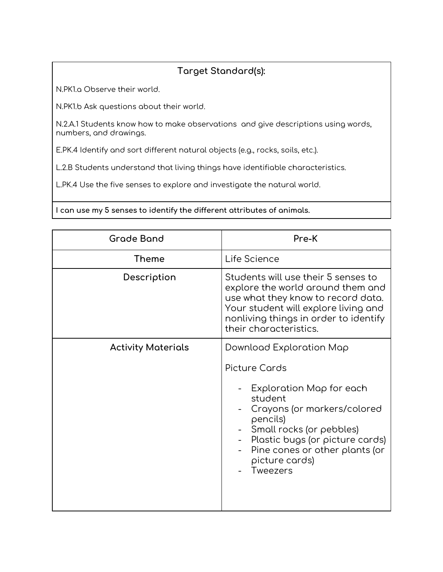## **Target Standard(s):**

N.PK1.a Observe their world.

N.PK1.b Ask questions about their world.

N.2.A.1 Students know how to make observations and give descriptions using words, numbers, and drawings.

E.PK.4 Identify and sort different natural objects (e.g., rocks, soils, etc.).

L.2.B Students understand that living things have identifiable characteristics.

L.PK.4 Use the five senses to explore and investigate the natural world.

**I can use my 5 senses to identify the different attributes of animals.**

| <b>Grade Band</b>         | Pre-K                                                                                                                                                                                                                                                      |
|---------------------------|------------------------------------------------------------------------------------------------------------------------------------------------------------------------------------------------------------------------------------------------------------|
| Theme                     | Life Science                                                                                                                                                                                                                                               |
| Description               | Students will use their 5 senses to<br>explore the world around them and<br>use what they know to record data.<br>Your student will explore living and<br>nonliving things in order to identify<br>their characteristics.                                  |
| <b>Activity Materials</b> | Download Exploration Map<br>Picture Cards<br>Exploration Map for each<br>student<br>Crayons (or markers/colored<br>pencils)<br>Small rocks (or pebbles)<br>Plastic bugs (or picture cards)<br>Pine cones or other plants (or<br>picture cards)<br>Tweezers |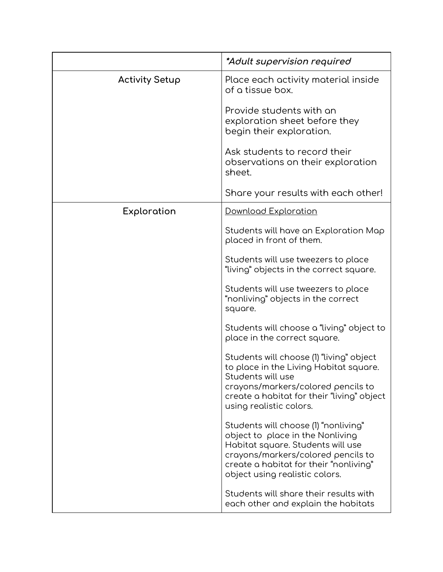|                       | <i>*Adult supervision required</i>                                                                                                                                                                                              |
|-----------------------|---------------------------------------------------------------------------------------------------------------------------------------------------------------------------------------------------------------------------------|
| <b>Activity Setup</b> | Place each activity material inside<br>of a tissue box.                                                                                                                                                                         |
|                       | Provide students with an<br>exploration sheet before they<br>begin their exploration.                                                                                                                                           |
|                       | Ask students to record their<br>observations on their exploration<br>sheet.                                                                                                                                                     |
|                       | Share your results with each other!                                                                                                                                                                                             |
| Exploration           | <b>Download Exploration</b>                                                                                                                                                                                                     |
|                       | Students will have an Exploration Map<br>placed in front of them.                                                                                                                                                               |
|                       | Students will use tweezers to place<br>"living" objects in the correct square.                                                                                                                                                  |
|                       | Students will use tweezers to place<br>"nonliving" objects in the correct<br>square.                                                                                                                                            |
|                       | Students will choose a "living" object to<br>place in the correct square.                                                                                                                                                       |
|                       | Students will choose (1) "living" object<br>to place in the Living Habitat square.<br>Students will use<br>crayons/markers/colored pencils to<br>create a habitat for their "living" object<br>using realistic colors.          |
|                       | Students will choose (1) "nonliving"<br>object to place in the Nonliving<br>Habitat square. Students will use<br>crayons/markers/colored pencils to<br>create a habitat for their "nonliving"<br>object using realistic colors. |
|                       | Students will share their results with<br>each other and explain the habitats                                                                                                                                                   |